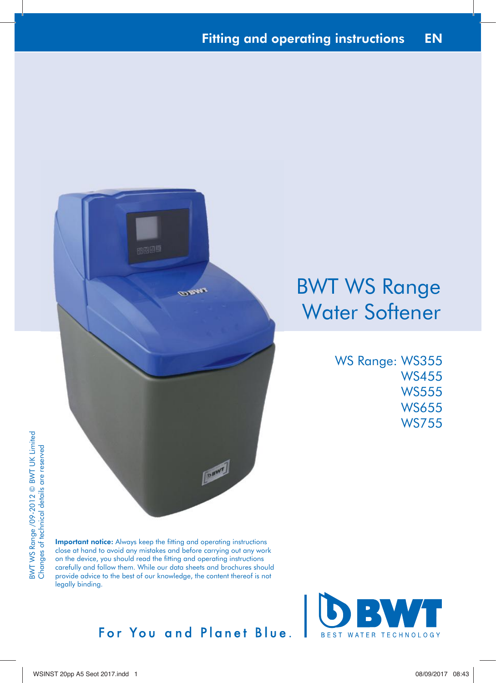

# BWT WS Range Water Softener

WS Range: WS355 WS455 WS555 WS655 WS755

Important notice: Always keep the fitting and operating instructions close at hand to avoid any mistakes and before carrying out any work on the device, you should read the fitting and operating instructions carefully and follow them. While our data sheets and brochures should provide advice to the best of our knowledge, the content thereof is not legally binding.



## For You and Planet Blue.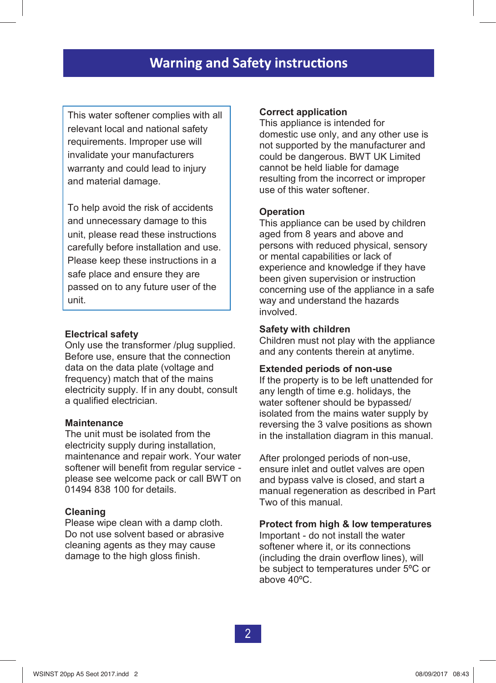This water softener complies with all relevant local and national safety requirements. Improper use will invalidate your manufacturers warranty and could lead to injury and material damage.

To help avoid the risk of accidents and unnecessary damage to this unit, please read these instructions carefully before installation and use. Please keep these instructions in a safe place and ensure they are passed on to any future user of the unit.

#### **Electrical safety**

Only use the transformer /plug supplied. Before use, ensure that the connection data on the data plate (voltage and frequency) match that of the mains electricity supply. If in any doubt, consult a qualified electrician.

#### **Maintenance**

The unit must be isolated from the electricity supply during installation, maintenance and repair work. Your water softener will benefit from regular service please see welcome pack or call BWT on 01494 838 100 for details.

#### **Cleaning**

Please wipe clean with a damp cloth. Do not use solvent based or abrasive cleaning agents as they may cause damage to the high gloss finish.

#### **Correct application**

This appliance is intended for domestic use only, and any other use is not supported by the manufacturer and could be dangerous. BWT UK Limited cannot be held liable for damage resulting from the incorrect or improper use of this water softener.

#### **Operation**

This appliance can be used by children aged from 8 years and above and persons with reduced physical, sensory or mental capabilities or lack of experience and knowledge if they have been given supervision or instruction concerning use of the appliance in a safe way and understand the hazards involved. This appliative is interlued to the mandatour of the mandatour of the mandatour of the mandaton be held liable for damage resulting from the incorrect or improper sum of the held liable for damage resulting from the incorr

#### **Safety with children**

Children must not play with the appliance and any contents therein at anytime.

#### **Extended periods of non-use**

If the property is to be left unattended for any length of time e.g. holidays, the water softener should be bypassed/ isolated from the mains water supply by reversing the 3 valve positions as shown in the installation diagram in this manual.

After prolonged periods of non-use, ensure inlet and outlet valves are open and bypass valve is closed, and start a manual regeneration as described in Part Two of this manual.

#### **Protect from high & low temperatures**

Important - do not install the water softener where it, or its connections (including the drain overflow lines), will be subject to temperatures under 5ºC or above 40ºC.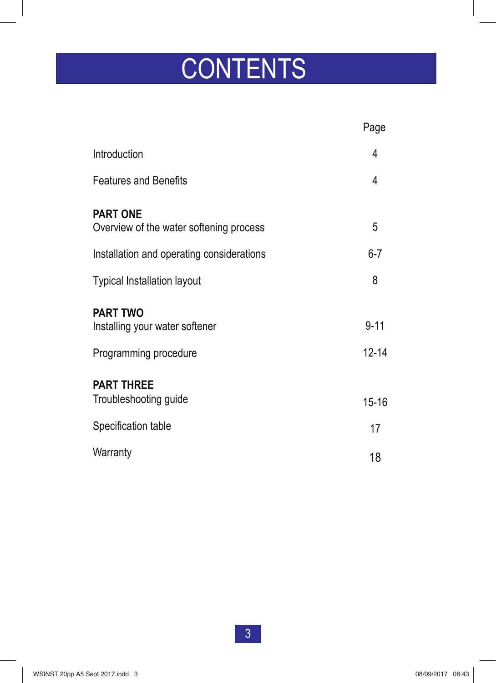# **CONTENTS**

|                                                                            | Page                  |
|----------------------------------------------------------------------------|-----------------------|
| Introduction                                                               | 4                     |
| <b>Features and Benefits</b>                                               | 4                     |
| <b>PART ONE</b><br>Overview of the water softening process                 | 5                     |
| Installation and operating considerations                                  | $6 - 7$               |
| <b>Typical Installation layout</b>                                         | 8                     |
| <b>PART TWO</b><br>Installing your water softener<br>Programming procedure | $9 - 11$<br>$12 - 14$ |
| <b>PART THREE</b><br>Troubleshooting guide                                 | $15 - 16$             |
| Specification table                                                        | 17                    |
| Warranty                                                                   | 18                    |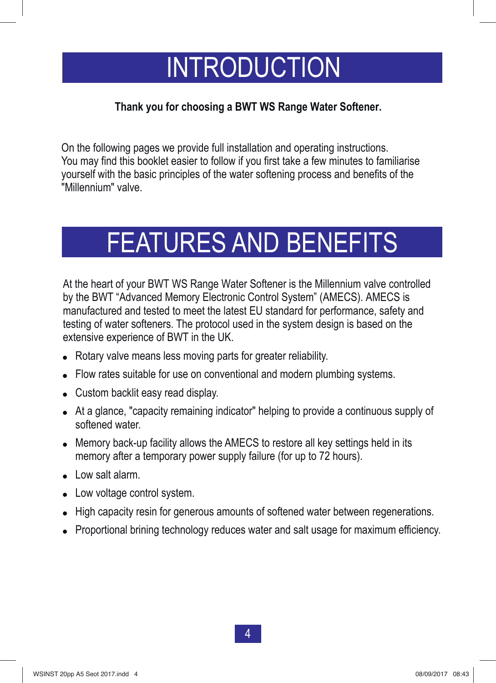# INTRODUCTION

#### **Thank you for choosing a BWT WS Range Water Softener.**

On the following pages we provide full installation and operating instructions. You may find this booklet easier to follow if you first take a few minutes to familiarise yourself with the basic principles of the water softening process and benefits of the "Millennium" valve.

# FEATURES AND BENEFITS

At the heart of your BWT WS Range Water Softener is the Millennium valve controlled by the BWT "Advanced Memory Electronic Control System" (AMECS). AMECS is manufactured and tested to meet the latest EU standard for performance, safety and testing of water softeners. The protocol used in the system design is based on the extensive experience of BWT in the UK.

- Rotary valve means less moving parts for greater reliability.
- " Flow rates suitable for use on conventional and modern plumbing systems.
- Custom backlit easy read display.
- At a glance, "capacity remaining indicator" helping to provide a continuous supply of softened water.
- . Memory back-up facility allows the AMECS to restore all key settings held in its memory after a temporary power supply failure (for up to 72 hours).
- Low salt alarm.
- Low voltage control system.
- High capacity resin for generous amounts of softened water between regenerations.
- Proportional brining technology reduces water and salt usage for maximum efficiency.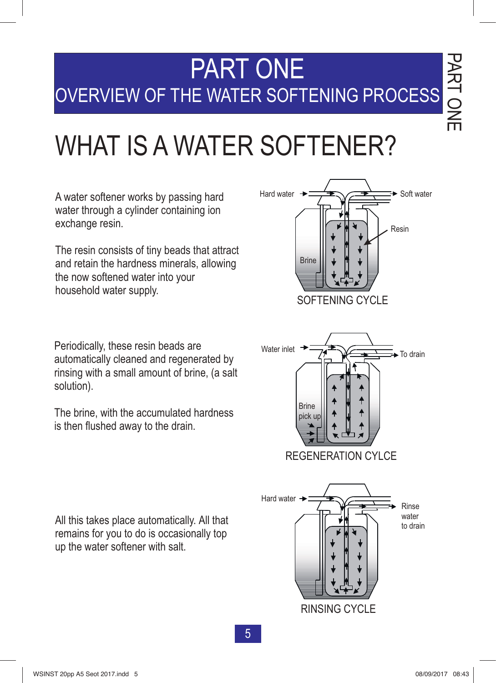# PART ONE OVERVIEW OF THE WATER SOFTENING PROCESS

# WHAT IS A WATER SOFTENER?

A water softener works by passing hard water through a cylinder containing ion exchange resin.

The resin consists of tiny beads that attract and retain the hardness minerals, allowing the now softened water into your household water supply.

Periodically, these resin beads are automatically cleaned and regenerated by rinsing with a small amount of brine, (a salt solution).

The brine, with the accumulated hardness is then flushed away to the drain.





All this takes place automatically. All that remains for you to do is occasionally top up the water softener with salt.

35 3

 $\bf{\overline{v}}$ 刀  $\blacktriangleright$ ᅠ

m  $\boldsymbol{Z}$  $\bigcirc$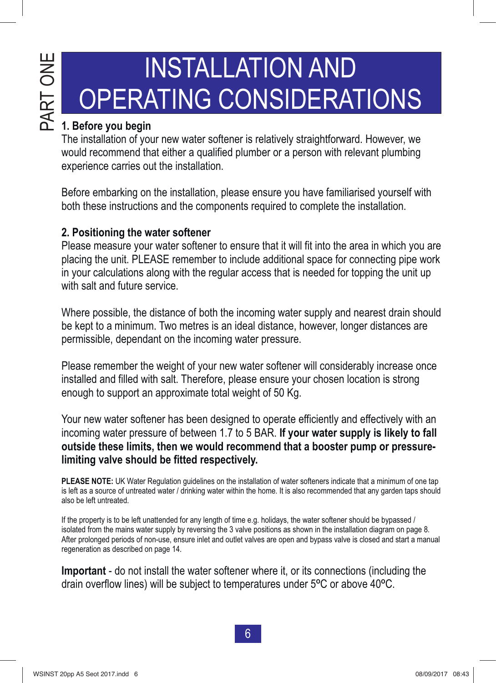# PAR H<br>O<br>H

# INSTALLATION AND OPERATING CONSIDERATIONS

#### **1. Before you begin**

The installation of your new water softener is relatively straightforward. However, we would recommend that either a qualified plumber or a person with relevant plumbing experience carries out the installation.

Before embarking on the installation, please ensure you have familiarised yourself with both these instructions and the components required to complete the installation.

#### **2. Positioning the water softener**

Please measure your water softener to ensure that it will fit into the area in which you are placing the unit. PLEASE remember to include additional space for connecting pipe work in your calculations along with the regular access that is needed for topping the unit up with salt and future service.

Where possible, the distance of both the incoming water supply and nearest drain should be kept to a minimum. Two metres is an ideal distance, however, longer distances are permissible, dependant on the incoming water pressure.

Please remember the weight of your new water softener will considerably increase once installed and filled with salt. Therefore, please ensure your chosen location is strong enough to support an approximate total weight of 50 Kg.

Your new water softener has been designed to operate efficiently and effectively with an incoming water pressure of between 1.7 to 5 BAR. **If your water supply is likely to fall outside these limits, then we would recommend that a booster pump or pressurelimiting valve should be fitted respectively.**

**PLEASE NOTE:** UK Water Regulation guidelines on the installation of water softeners indicate that a minimum of one tap is left as a source of untreated water / drinking water within the home. It is also recommended that any garden taps should also be left untreated.

If the property is to be left unattended for any length of time e.g. holidays, the water softener should be bypassed / isolated from the mains water supply by reversing the 3 valve positions as shown in the installation diagram on page 8. After prolonged periods of non-use, ensure inlet and outlet valves are open and bypass valve is closed and start a manual regeneration as described on page 14.

**Important** - do not install the water softener where it, or its connections (including the drain overflow lines) will be subject to temperatures under 5ºC or above 40ºC.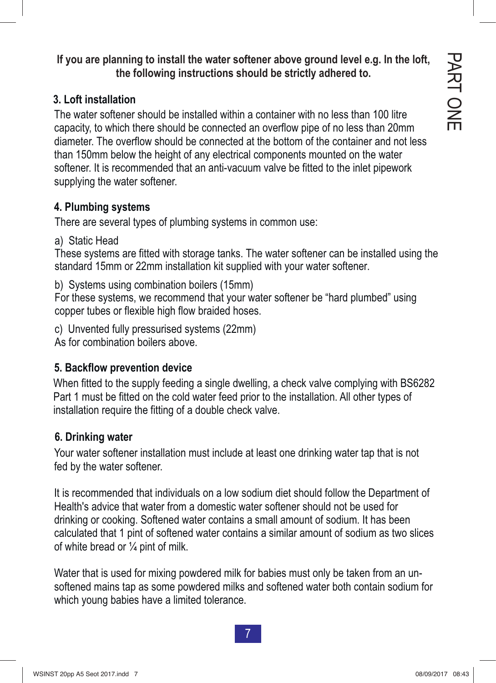**If you are planning to install the water softener above ground level e.g. In the loft, the following instructions should be strictly adhered to.**

#### **3. Loft installation**

The water softener should be installed within a container with no less than 100 litre capacity, to which there should be connected an overflow pipe of no less than 20mm diameter. The overflow should be connected at the bottom of the container and not less than 150mm below the height of any electrical components mounted on the water softener. It is recommended that an anti-vacuum valve be fitted to the inlet pipework supplying the water softener.

#### **4. Plumbing systems**

There are several types of plumbing systems in common use:

a) Static Head

These systems are fitted with storage tanks. The water softener can be installed using the standard 15mm or 22mm installation kit supplied with your water softener.

b) Systems using combination boilers (15mm)

For these systems, we recommend that your water softener be "hard plumbed" using copper tubes or flexible high flow braided hoses.

c) Unvented fully pressurised systems (22mm) As for combination boilers above.

#### **5. Backflow prevention device**

Part 1 must be fitted on the cold water feed prior to the installation. All other types of installation require the fitting of a double check valve.

#### **6. Drinking water**

Your water softener installation must include at least one drinking water tap that is not fed by the water softener.

It is recommended that individuals on a low sodium diet should follow the Department of Health's advice that water from a domestic water softener should not be used for drinking or cooking. Softened water contains a small amount of sodium. It has been calculated that 1 pint of softened water contains a similar amount of sodium as two slices of white bread or  $\frac{1}{4}$  pint of milk. When fitted to the supply feeding a single dwelling, a check valve complying with BS6282<br>Part 1 must be fitted on the cold water feed prior to the installation. All other types of<br>installation require the fitting of a doub

Water that is used for mixing powdered milk for babies must only be taken from an unsoftened mains tap as some powdered milks and softened water both contain sodium for which young babies have a limited tolerance.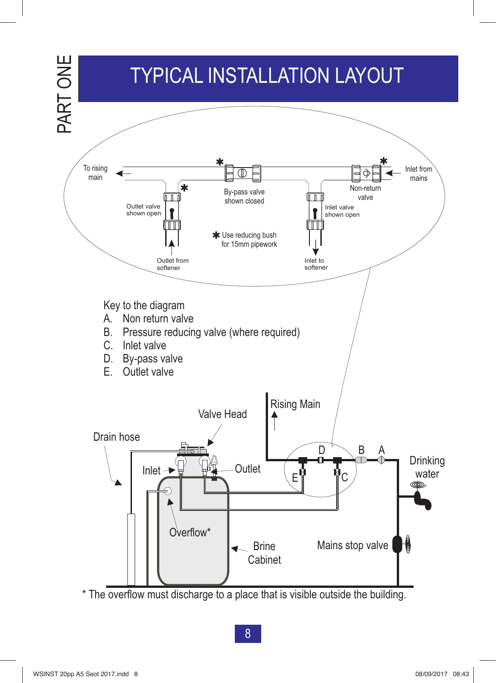

\* The overflow must discharge to a place that is visible outside the building.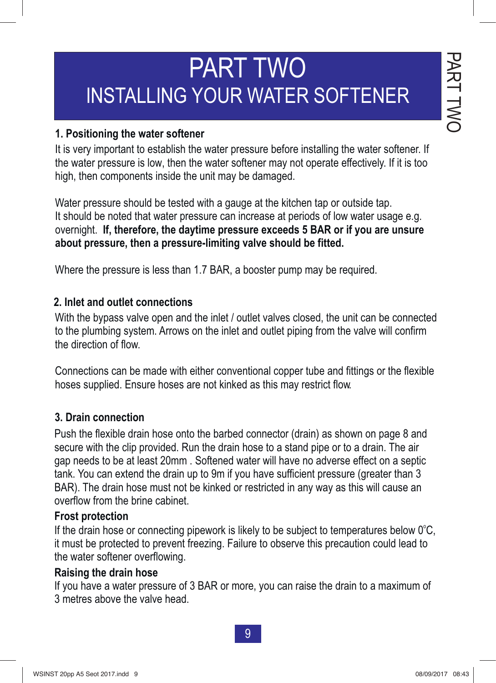#### $\bf{\overline{v}}$ 刀  $\blacktriangleright$ ᅳᅥ  $\bigcirc$  $\leq$  $\overline{\phantom{0}}$ PART<br>P TWO

# PART TWO INSTALLING YOUR WATER SOFTENER

### **1. Positioning the water softener** 1. Positioning the water softener

It is very important to establish the water pressure before installing the water softener. If It is very important to establish the water pressure before installing the water softener. If the water pressure is low, then the water softener may not operate effectively. If it is too high, then components inside the unit may be damaged. high, then components inside the unit may be damaged. the water pressure is low, then the water softener may not operate effectively. If it is too<br>high then components inside the unit may be demograd

Water pressure should be tested with a gauge at the kitchen tap or outside tap. water pressure should be tested with a gauge at the kitchen tap or outside tap.<br>It should be noted that water pressure can increase at periods of low water usage e.g. overnight. **If, therefore, the daytime pressure exceeds 5 BAR or if you are unsure**  It should be noted that water pressure can increase at periods of low water usage e.g. **about pressure, then a pressure-limiting valve should be fitted.**  overnight. **If, therefore, the daytime pressure exceeds 5 BAR or if you are unsure about pressure, then a pressure-limiting valve should be fitted.** 

Where the pressure is less than 1.7 BAR, a booster pump may be required. Where the pressure is less than 1.7 BAR, a booster pump may be required.

#### **2. Inlet and outlet connections**

With the bypass valve open and the inlet / outlet valves closed, the unit can be connected With the bypass valve open and the inlet / outlet valves closed, the unit can be connected to the plumbing system. Arrows on the inlet and outlet piping from the valve will confirm to the plumbing system. Arrows on the inlet and outlet piping from the valve will confirm the direction of flow. the direction of flow.

Connections can be made with either conventional copper tube and fittings or the flexible Connections can be made with either conventional copper tube and fittings or the flexible hoses supplied. Ensure hoses are not kinked as this may restrict flow.

#### **3. Drain connection**

Push the flexible drain hose onto the barbed connector (drain) as shown on page 8 and secure with the clip provided. Run the drain hose to a stand pipe or to a drain. The air<br>see needs to be at least 20mm. Caftanad water will be vere a solveres affect an a santial gap needs to be at least 20mm . Softened water will have no adverse effect on a septic yap rieeds to be at least zonini . Soliened water will have no adverse effect on a septite<br>tank. You can extend the drain up to 9m if you have sufficient pressure (greater than 3 BAR). The drain hose must not be kinked or restricted in any way as this will cause an <br>sustflaw from the bring cabinet overflow from the brine cabinet.<br>-**PART TWO**<br> **TRANSTALLING YOUR WATER SOFTENER**<br> **1. Positioning the water softener**<br> **1. It is very important to establish the water pressure before installing the water soften<br>
the water pressure is low, then the water so** iann. Tou can calchu the urant up to bin if you have sumclem pressure (greater than o<br>DAD). The dreip bees reust not be kinked ar restricted in any way se this will seves an

### **Frost protection**

If the drain hose or connecting pipework is likely to be subject to temperatures below 0°C, it must be protected to prevent freezing. Failure to observe this precaution could lead to the water softener overflowing.

### Raising the drain hose

If you have a water pressure of 3 BAR or more, you can raise the drain to a maximum of **Raising the drain hose** 3 metres above the valve head.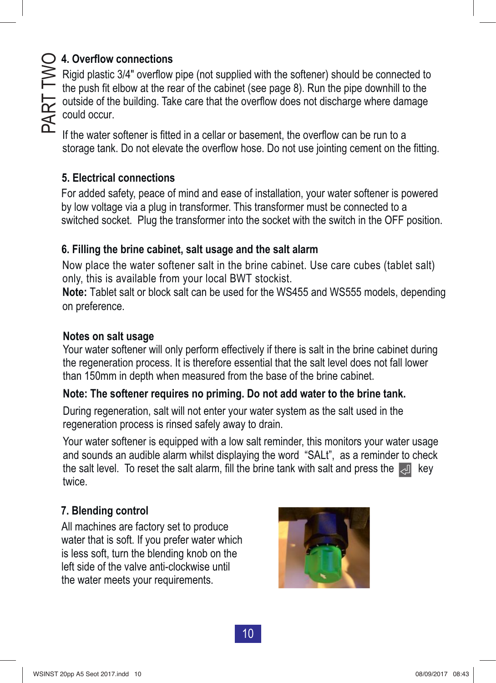### **4. Overflow connections**

Rigid plastic 3/4" overflow pipe (not supplied with the softener) should be connected to the push fit elbow at the rear of the cabinet (see page 8). Run the pipe downhill to the outside of the building. Take care that the overflow does not discharge where damage could occur.

If the water softener is fitted in a cellar or basement, the overflow can be run to a storage tank. Do not elevate the overflow hose. Do not use jointing cement on the fitting.

### **5. Electrical connections**

For added safety, peace of mind and ease of installation, your water softener is powered by low voltage via a plug in transformer. This transformer must be connected to a switched socket. Plug the transformer into the socket with the switch in the OFF position.

### **6. Filling the brine cabinet, salt usage and the salt alarm**

Now place the water softener salt in the brine cabinet. Use care cubes (tablet salt) o nly, this is available from your local BWT stockist.

**Note:** Tablet salt or block salt can be used for the WS455 and WS555 models, depending on preference.

#### **Notes on salt usage**

Your water softener will only perform effectively if there is salt in the brine cabinet during the regeneration process. It is therefore essential that the salt level does not fall lower than 150mm in depth when measured from the base of the brine cabinet.

### **Note: The softener requires no priming. Do not add water to the brine tank.**

During regeneration, salt will not enter your water system as the salt used in the regeneration process is rinsed safely away to drain.

Your water softener is equipped with a low salt reminder, this monitors your water usage and sounds an audible alarm whilst displaying the word "SALt", as a reminder to check the salt level. To reset the salt alarm, fill the brine tank with salt and press the  $\Box$  key twice.

### **7. Blending control**

All machines are factory set to produce water that is soft. If you prefer water which is less soft, turn the blending knob on the left side of the valve anti-clockwise until the water meets your requirements.

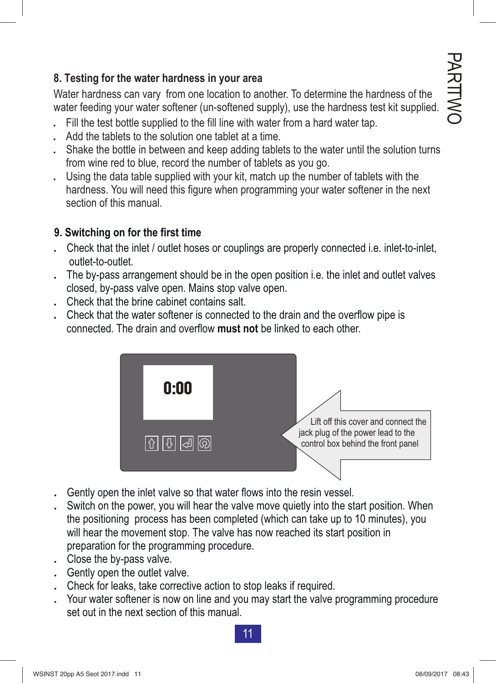#### **8. Testing for the water hardness in your area**

Water hardness can vary from one location to another. To determine the hardness of the water feeding your water softener (un-softened supply), use the hardness test kit supplied.

- . Fill the test bottle supplied to the fill line with water from a hard water tap.
- Add the tablets to the solution one tablet at a time.
- . Shake the bottle in between and keep adding tablets to the water until the solution turns from wine red to blue, record the number of tablets as you go.
- . Using the data table supplied with your kit, match up the number of tablets with the hardness. You will need this figure when programming your water softener in the next section of this manual.

#### **9. Switching on for the first time**

- . Check that the inlet / outlet hoses or couplings are properly connected i.e. inlet-to-inlet, outlet-to-outlet.
- . The by-pass arrangement should be in the open position i.e. the inlet and outlet valves closed, by-pass valve open. Mains stop valve open.
- . Check that the brine cabinet contains salt.
- Check that the water softener is connected to the drain and the overflow pipe is connected. The drain and overflow **must not** be linked to each other.



- Gently open the inlet valve so that water flows into the resin vessel.
- Switch on the power, you will hear the valve move quietly into the start position. When the positioning process has been completed (which can take up to 10 minutes), you will hear the movement stop. The valve has now reached its start position in preparation for the programming procedure.
- . Close the by-pass valve.
- . Gently open the outlet valve.
- Check for leaks, take corrective action to stop leaks if required.
- . Your water softener is now on line and you may start the valve programming procedure set out in the next section of this manual.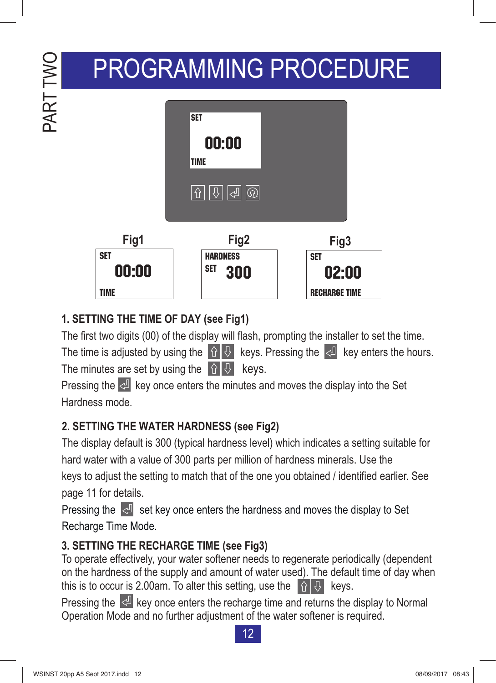# PROGRAMMING PROCEDURE



### **1. SETTING THE TIME OF DAY (see Fig1)**

PART TWO

PART TWO

The first two digits (00) of the display will flash, prompting the installer to set the time.

The time is adjusted by using the  $\left|\hat{v}\right| \theta$  keys. Pressing the  $\left|\hat{v}\right|$  key enters the hours. The minutes are set by using the  $\left|\hat{v}\right| \theta$  keys.

Pressing the  $\leq$  key once enters the minutes and moves the display into the Set Hardness mode.

### **2. SETTING THE WATER HARDNESS (see Fig2)**

The display default is 300 (typical hardness level) which indicates a setting suitable for hard water with a value of 300 parts per million of hardness minerals. Use the keys to adjust the setting to match that of the one you obtained / identified earlier. See page 11 for details.

Pressing the  $\sqrt{2}$  set key once enters the hardness and moves the display to Set Recharge Time Mode.

### **3. SETTING THE RECHARGE TIME (see Fig3)**

To operate effectively, your water softener needs to regenerate periodically (dependent on the hardness of the supply and amount of water used). The default time of day when this is to occur is 2.00am. To alter this setting, use the  $\left|\left\{\right\}\right|$  keys.

Pressing the  $\leq$  key once enters the recharge time and returns the display to Normal Operation Mode and no further adjustment of the water softener is required.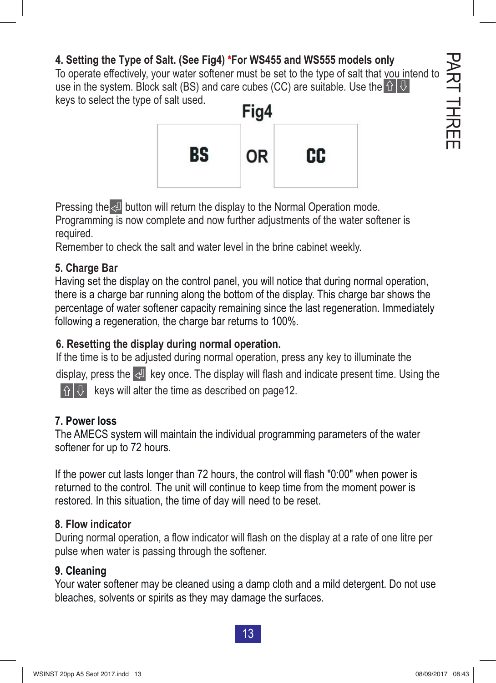### **4. Setting the Type of Salt. (See Fig4)** \***For WS455 and WS555 models only**

To operate effectively, your water softener must be set to the type of salt that you intend to use in the system. Block salt (BS) and care cubes (CC) are suitable. Use the  $\hat{H} \hat{H}$ keys to select the type of salt used.



Pressing the  $\triangleq$  button will return the display to the Normal Operation mode. Programming is now complete and now further adjustments of the water softener is

required.

Remember to check the salt and water level in the brine cabinet weekly.

#### **5. Charge Bar**

Having set the display on the control panel, you will notice that during normal operation, there is a charge bar running along the bottom of the display. This charge bar shows the percentage of water softener capacity remaining since the last regeneration. Immediately following a regeneration, the charge bar returns to 100%.

### **6. Resetting the display during normal operation.**

If the time is to be adjusted during normal operation, press any key to illuminate the display, press the  $\langle \mathcal{A} |$  key once. The display will flash and indicate present time. Using the  $\left|\hat{\theta}\right|$  keys will alter the time as described on page12.

#### **7. Power loss**

The AMECS system will maintain the individual programming parameters of the water softener for up to 72 hours.

If the power cut lasts longer than 72 hours, the control will flash "0:00" when power is returned to the control. The unit will continue to keep time from the moment power is restored. In this situation, the time of day will need to be reset.

#### **8. Flow indicator**

During normal operation, a flow indicator will flash on the display at a rate of one litre per pulse when water is passing through the softener.

#### **9. Cleaning**

Your water softener may be cleaned using a damp cloth and a mild detergent. Do not use bleaches, solvents or spirits as they may damage the surfaces.

13 13

P<br>无

T EERHT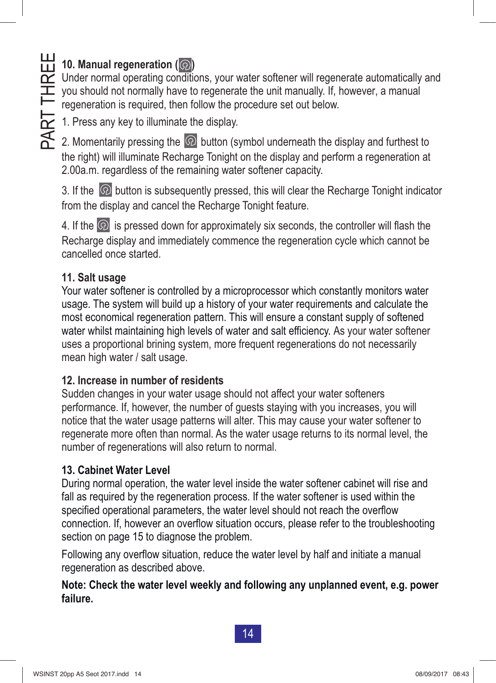# **11.** 10. Manual regeneration  $\overline{(\textcircled{2})}$

Under normal operating conditions, your water softener will regenerate automatically and you should not normally have to regenerate the unit manually. If, however, a manual regeneration is required, then follow the procedure set out below. 1. Press any key to illuminate the display.<br>
1. Press any key to illuminate the display.<br>
2. Momentarily pressing the  $\Omega$  button (system)

2. Momentarily pressing the  $\textcircled{2}$  button (symbol underneath the display and furthest to the right) will illuminate Recharge Tonight on the display and perform a regeneration at 2.00a.m. regardless of the remaining water softener capacity.

3. If the  $\heartsuit$  button is subsequently pressed, this will clear the Recharge Tonight indicator from the display and cancel the Recharge Tonight feature.

4. If the  $\Omega$  is pressed down for approximately six seconds, the controller will flash the Recharge display and immediately commence the regeneration cycle which cannot be cancelled once started.

### **11. Salt usage**

water whilst maintaining high levels of water and salt efficiency. As your water softener uses a proportional brining system, more frequent regenerations do not necessarily mean high water / salt usage. Your water softener is controlled by a microprocessor which constantly monitors water usage. The system will build up a history of your water requirements and calculate the most economical regeneration pattern. This will ensure a constant supply of softened

#### **12. Increase in number of residents**

Sudden changes in your water usage should not affect your water softeners performance. If, however, the number of guests staying with you increases, you will notice that the water usage patterns will alter. This may cause your water softener to regenerate more often than normal. As the water usage returns to its normal level, the number of regenerations will also return to normal.

#### **13. Cabinet Water Level**

During normal operation, the water level inside the water softener cabinet will rise and fall as required by the regeneration process. If the water softener is used within the specified operational parameters, the water level should not reach the overflow connection. If, however an overflow situation occurs, please refer to the troubleshooting section on page 15 to diagnose the problem.

Following any overflow situation, reduce the water level by half and initiate a manual regeneration as described above.

#### **Note: Check the water level weekly and following any unplanned event, e.g. power failure.**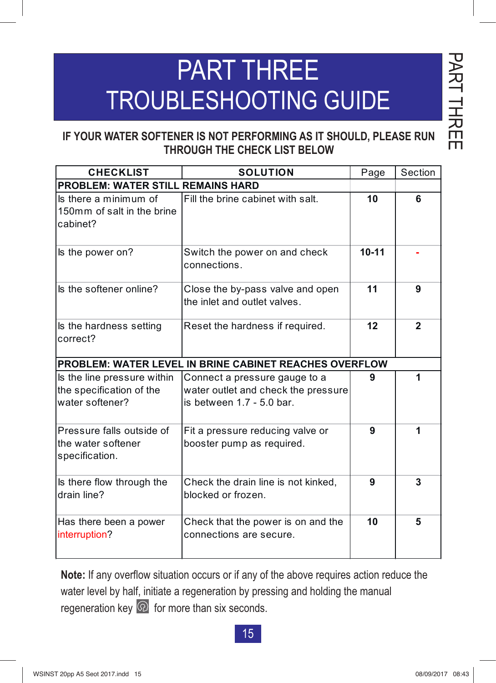# PART THREE TROUBLESHOOTING GUIDE

#### **IF YOUR WATER SOFTENER IS NOT PERFORMING AS IT SHOULD, PLEASE RUN THROUGH THE CHECK LIST BELOW**

| <b>CHECKLIST</b>                                                           | <b>SOLUTION</b>                                                                                     |           | Section      |  |  |
|----------------------------------------------------------------------------|-----------------------------------------------------------------------------------------------------|-----------|--------------|--|--|
| <b>PROBLEM: WATER STILL REMAINS HARD</b>                                   |                                                                                                     |           |              |  |  |
| Is there a minimum of<br>150mm of salt in the brine<br>cabinet?            | Fill the brine cabinet with salt.                                                                   | 10        | 6            |  |  |
| Is the power on?                                                           | Switch the power on and check<br>connections.                                                       | $10 - 11$ |              |  |  |
| Is the softener online?                                                    | Close the by-pass valve and open<br>the inlet and outlet valves.                                    | 11        | 9            |  |  |
| Is the hardness setting<br>correct?                                        | Reset the hardness if required.                                                                     | 12        | $\mathbf{2}$ |  |  |
| PROBLEM: WATER LEVEL IN BRINE CABINET REACHES OVERFLOW                     |                                                                                                     |           |              |  |  |
| Is the line pressure within<br>the specification of the<br>water softener? | Connect a pressure gauge to a<br>water outlet and check the pressure<br>is between $1.7 - 5.0$ bar. | 9         | 1            |  |  |
| Pressure falls outside of<br>the water softener<br>specification.          | Fit a pressure reducing valve or<br>booster pump as required.                                       | 9         | 1            |  |  |
| Is there flow through the<br>drain line?                                   | Check the drain line is not kinked,<br>blocked or frozen.                                           | 9         | 3            |  |  |
| Has there been a power<br>interruption?                                    | Check that the power is on and the<br>connections are secure.                                       | 10        | 5            |  |  |

**Note:** If any overflow situation occurs or if any of the above requires action reduce the water level by half, initiate a regeneration by pressing and holding the manual regeneration key  $\circledR$  for more than six seconds.

15

P<br>R<br>R

T EERHT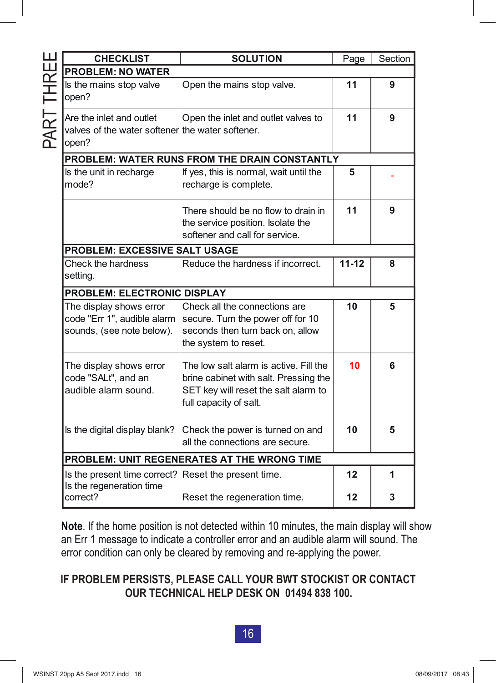|            | <b>CHECKLIST</b>                                                                      | <b>SOLUTION</b>                                                                                                                                   | Page      | Section |  |  |  |
|------------|---------------------------------------------------------------------------------------|---------------------------------------------------------------------------------------------------------------------------------------------------|-----------|---------|--|--|--|
|            | <b>PROBLEM: NO WATER</b>                                                              |                                                                                                                                                   |           |         |  |  |  |
|            | Is the mains stop valve<br>open?                                                      | Open the mains stop valve.                                                                                                                        | 11        | 9       |  |  |  |
| PART THREE | Are the inlet and outlet<br>valves of the water softener the water softener.<br>open? | Open the inlet and outlet valves to                                                                                                               | 11        | 9       |  |  |  |
|            | PROBLEM: WATER RUNS FROM THE DRAIN CONSTANTLY                                         |                                                                                                                                                   |           |         |  |  |  |
|            | Is the unit in recharge<br>mode?                                                      | If yes, this is normal, wait until the<br>recharge is complete.                                                                                   | 5         |         |  |  |  |
|            |                                                                                       | There should be no flow to drain in<br>the service position. Isolate the<br>softener and call for service.                                        | 11        | 9       |  |  |  |
|            | <b>PROBLEM: EXCESSIVE SALT USAGE</b>                                                  |                                                                                                                                                   |           |         |  |  |  |
|            | Check the hardness<br>setting.                                                        | Reduce the hardness if incorrect.                                                                                                                 | $11 - 12$ | 8       |  |  |  |
|            | <b>PROBLEM: ELECTRONIC DISPLAY</b>                                                    |                                                                                                                                                   |           |         |  |  |  |
|            | The display shows error<br>code "Err 1", audible alarm<br>sounds, (see note below).   | Check all the connections are<br>secure. Turn the power off for 10<br>seconds then turn back on, allow<br>the system to reset.                    | 10        | 5       |  |  |  |
|            | The display shows error<br>code "SALt", and an<br>audible alarm sound.                | The low salt alarm is active. Fill the<br>brine cabinet with salt. Pressing the<br>SET key will reset the salt alarm to<br>full capacity of salt. | 10        | 6       |  |  |  |
|            | Is the digital display blank?                                                         | Check the power is turned on and<br>all the connections are secure.                                                                               | 10        | 5       |  |  |  |
|            | PROBLEM: UNIT REGENERATES AT THE WRONG TIME                                           |                                                                                                                                                   |           |         |  |  |  |
|            | Is the present time correct? Reset the present time.<br>Is the regeneration time      |                                                                                                                                                   | 12        | 1       |  |  |  |
|            | correct?                                                                              | Reset the regeneration time.                                                                                                                      | 12        | 3       |  |  |  |

**Note**. If the home position is not detected within 10 minutes, the main display will show an Err 1 message to indicate a controller error and an audible alarm will sound. The error condition can only be cleared by removing and re-applying the power.

#### **IF PROBLEM PERSISTS, PLEASE CALL YOUR BWT STOCKIST OR CONTACT OUR TECHNICAL HELP DESK ON 01494 838 100.**

#### $16$   $\overline{\phantom{0}}$ 16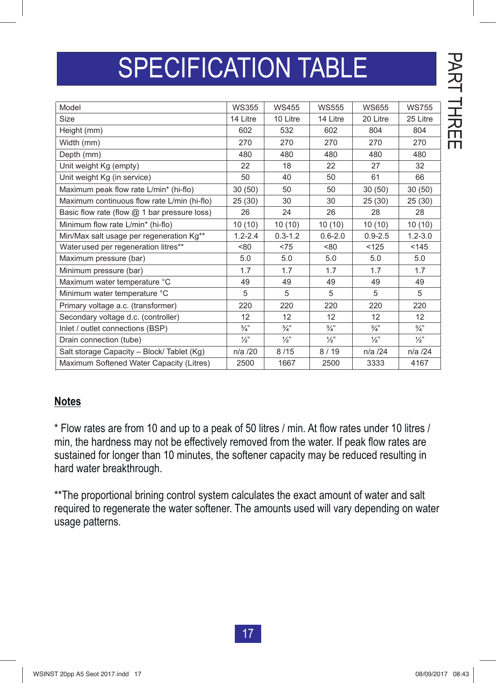# SPECIFICATION TABLE

| Model                                        | <b>WS355</b>  | <b>WS455</b>    | <b>WS555</b>    | <b>WS655</b>  | <b>WS755</b>    |
|----------------------------------------------|---------------|-----------------|-----------------|---------------|-----------------|
| <b>Size</b>                                  | 14 Litre      | 10 Litre        | 14 Litre        | 20 Litre      | 25 Litre        |
| Height (mm)                                  | 602           | 532             | 602             | 804           | 804             |
| Width (mm)                                   | 270           | 270             | 270             | 270           | 270             |
| Depth (mm)                                   | 480           | 480             | 480             | 480           | 480             |
| Unit weight Kg (empty)                       | 22            | 18              | 22              | 27            | 32              |
| Unit weight Kg (in service)                  | 50            | 40              | 50              | 61            | 66              |
| Maximum peak flow rate L/min* (hi-flo)       | 30(50)        | 50              | 50              | 30(50)        | 30(50)          |
| Maximum continuous flow rate L/min (hi-flo)  | 25(30)        | 30              | 30              | 25(30)        | 25(30)          |
| Basic flow rate (flow @ 1 bar pressure loss) | 26            | 24              | 26              | 28            | 28              |
| Minimum flow rate L/min* (hi-flo)            | 10(10)        | 10(10)          | 10(10)          | 10(10)        | 10(10)          |
| Min/Max salt usage per regeneration Kg**     | $1.2 - 2.4$   | $0.3 - 1.2$     | $0.6 - 2.0$     | $0.9 - 2.5$   | $1.2 - 3.0$     |
| Water used per regeneration litres**         | <80           | < 75            | <80             | < 125         | 145             |
| Maximum pressure (bar)                       | 5.0           | 5.0             | 5.0             | 5.0           | 5.0             |
| Minimum pressure (bar)                       | 1.7           | 1.7             | 1.7             | 1.7           | 1.7             |
| Maximum water temperature °C                 | 49            | 49              | 49              | 49            | 49              |
| Minimum water temperature °C                 | 5             | 5               | 5               | 5             | 5               |
| Primary voltage a.c. (transformer)           | 220           | 220             | 220             | 220           | 220             |
| Secondary voltage d.c. (controller)          | 12            | 12              | 12              | 12            | 12              |
| Inlet / outlet connections (BSP)             | $\frac{3}{4}$ | $\frac{3}{4}$ " | $\frac{3}{4}$ " | $\frac{3}{4}$ | $\frac{3}{4}$ " |
| Drain connection (tube)                      | $\frac{1}{2}$ | $\frac{1}{2}$   | $\frac{1}{2}$   | $\frac{1}{2}$ | $\frac{1}{2}$   |
| Salt storage Capacity - Block/ Tablet (Kg)   | $n/a$ /20     | 8/15            | 8/19            | $n/a$ /24     | n/a /24         |
| Maximum Softened Water Capacity (Litres)     | 2500          | 1667            | 2500            | 3333          | 4167            |

#### **Notes**

\* Flow rates are from 10 and up to a peak of 50 litres / min. At flow rates under 10 litres / min, the hardness may not be effectively removed from the water. If peak flow rates are sustained for longer than 10 minutes, the softener capacity may be reduced resulting in hard water breakthrough.

\*\* The proportional brining control system calculates the exact amount of water and salt required to regenerate the water softener. The amounts used will vary depending on water usage patterns.

P<br>无

T EERHT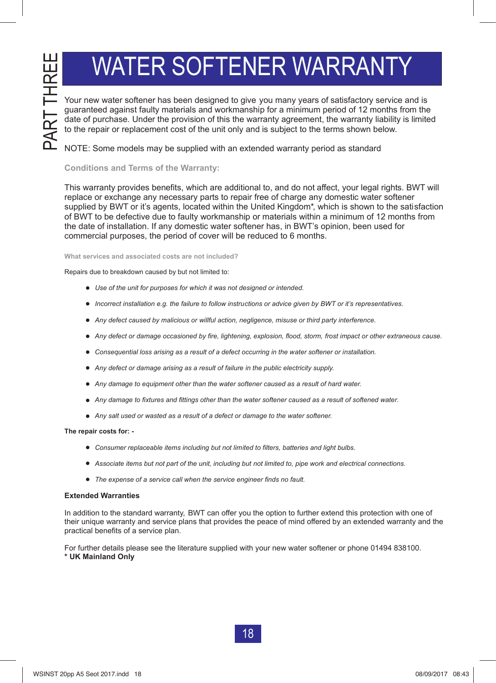# WATER SOFTENER WARRANTY

guaranteed against faulty materials and workmanship for a minimum period of 12 months from the date of purchase. Under the provision of this the warranty agreement, the warranty liability is limited to the repair or replacement cost of the unit only and is subject to the terms shown below.

NOTE: Some models may be supplied with an extended warranty period as standard

#### **Conditions and Terms of the Warranty:**

Your new water softener has been designed to give you many years of satisfactory service and<br>in a method of the stress of the stress of the stress of the stress of the stress of the stress of the presentation of the stress This warranty provides benefits, which are additional to, and do not affect, your legal rights. BWT will replace or exchange any necessary parts to repair free of charge any domestic water softener supplied by BWT or it's agents, located within the United Kingdom\*, which is shown to the satisfaction of BWT to be defective due to faulty workmanship or materials within a minimum of 12 months from the date of installation. If any domestic water softener has, in BWT's opinion, been used for commercial purposes, the period of cover will be reduced to 6 months.

**What services and associated costs are not included?**

Repairs due to breakdown caused by but not limited to:

- *Use of the unit for purposes for which it was not designed or intended.*
- *Incorrect installation e.g. the failure to follow instructions or advice given by BWT or it's representatives*.
- *Any defect caused by malicious or willful action, negligence, misuse or third party interference.*
- *Any defect or damage occasioned by fire, lightening, explosion, flood, storm, frost impact or other extraneous cause.*
- *Consequential loss arising as a result of a defect occurring in the water softener or installation.*
- *Any defect or damage arising as a result of failure in the public electricity supply.*
- *Any damage to equipment other than the water softener caused as a result of hard water.*
- *Any damage to fixtures and fittings other than the water softener caused as a result of softened water.*
- *Any salt used or wasted as a result of a defect or damage to the water softener.*

#### **The repair costs for: -**

- *Consumer replaceable items including but not limited to filters, batteries and light bulbs.*
- *Associate items but not part of the unit, including but not limited to, pipe work and electrical connections.*
- *The expense of a service call when the service engineer finds no fault.*

#### **Extended Warranties**

In addition to the standard warranty, BWT can offer you the option to further extend this protection with one of their unique warranty and service plans that provides the peace of mind offered by an extended warranty and the practical benefits of a service plan.

For further details please see the literature supplied with your new water softener or phone 01494 838100. **\* UK Mainland Only**